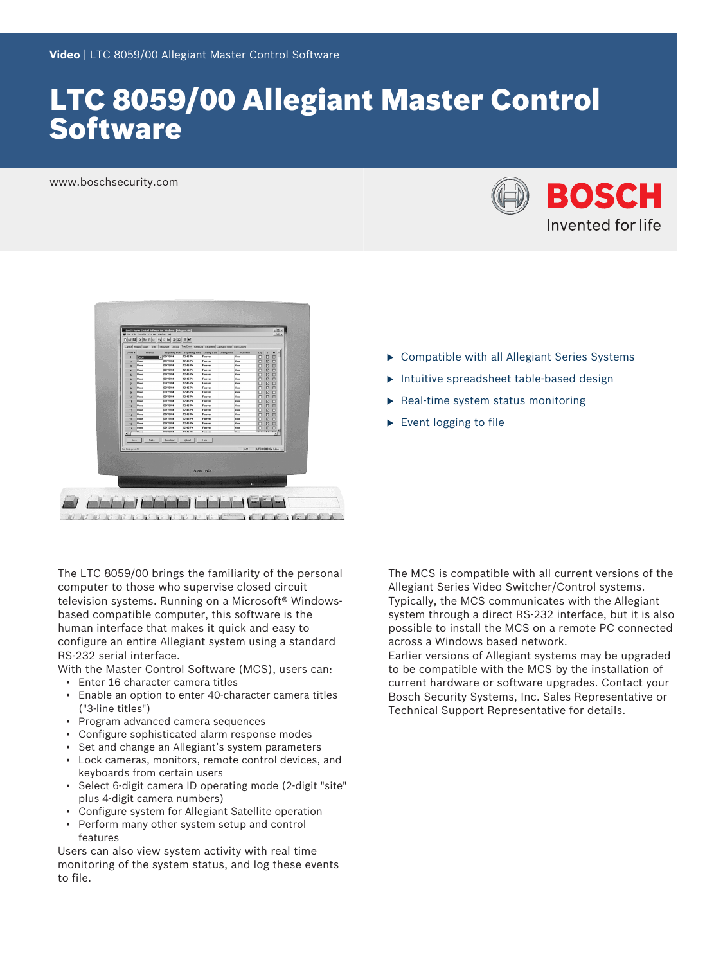# LTC 8059/00 Allegiant Master Control **Software**

www.boschsecurity.com





The LTC 8059/00 brings the familiarity of the personal computer to those who supervise closed circuit television systems. Running on a Microsoft® Windowsbased compatible computer, this software is the human interface that makes it quick and easy to configure an entire Allegiant system using a standard RS-232 serial interface.

With the Master Control Software (MCS), users can:

- Enter 16 character camera titles
- Enable an option to enter 40-character camera titles ("3-line titles")
- Program advanced camera sequences
- Configure sophisticated alarm response modes
- Set and change an Allegiant's system parameters
- Lock cameras, monitors, remote control devices, and keyboards from certain users
- Select 6-digit camera ID operating mode (2-digit "site" plus 4-digit camera numbers)
- Configure system for Allegiant Satellite operation
- Perform many other system setup and control features

Users can also view system activity with real time monitoring of the system status, and log these events to file.

- $\triangleright$  Compatible with all Allegiant Series Systems
- $\blacktriangleright$  Intuitive spreadsheet table-based design
- $\blacktriangleright$  Real-time system status monitoring
- $\blacktriangleright$  Event logging to file

The MCS is compatible with all current versions of the Allegiant Series Video Switcher/Control systems. Typically, the MCS communicates with the Allegiant system through a direct RS-232 interface, but it is also possible to install the MCS on a remote PC connected across a Windows based network.

Earlier versions of Allegiant systems may be upgraded to be compatible with the MCS by the installation of current hardware or software upgrades. Contact your Bosch Security Systems, Inc. Sales Representative or Technical Support Representative for details.